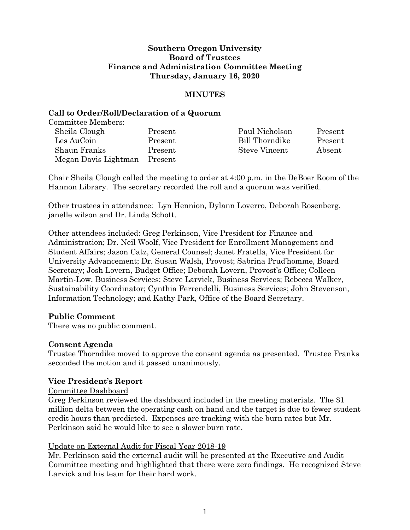# **Southern Oregon University Board of Trustees Finance and Administration Committee Meeting Thursday, January 16, 2020**

# **MINUTES**

### **Call to Order/Roll/Declaration of a Quorum**

Committee Members:

| Sheila Clough        | Present | Paul Nicholson | Present |
|----------------------|---------|----------------|---------|
| Les AuCoin           | Present | Bill Thorndike | Present |
| Shaun Franks         | Present | Steve Vincent  | Absent  |
| Megan Davis Lightman | Present |                |         |

Chair Sheila Clough called the meeting to order at 4:00 p.m. in the DeBoer Room of the Hannon Library. The secretary recorded the roll and a quorum was verified.

Other trustees in attendance: Lyn Hennion, Dylann Loverro, Deborah Rosenberg, janelle wilson and Dr. Linda Schott.

Other attendees included: Greg Perkinson, Vice President for Finance and Administration; Dr. Neil Woolf, Vice President for Enrollment Management and Student Affairs; Jason Catz, General Counsel; Janet Fratella, Vice President for University Advancement; Dr. Susan Walsh, Provost; Sabrina Prud'homme, Board Secretary; Josh Lovern, Budget Office; Deborah Lovern, Provost's Office; Colleen Martin-Low, Business Services; Steve Larvick, Business Services; Rebecca Walker, Sustainability Coordinator; Cynthia Ferrendelli, Business Services; John Stevenson, Information Technology; and Kathy Park, Office of the Board Secretary.

# **Public Comment**

There was no public comment.

#### **Consent Agenda**

Trustee Thorndike moved to approve the consent agenda as presented. Trustee Franks seconded the motion and it passed unanimously.

# **Vice President's Report**

#### Committee Dashboard

Greg Perkinson reviewed the dashboard included in the meeting materials. The \$1 million delta between the operating cash on hand and the target is due to fewer student credit hours than predicted. Expenses are tracking with the burn rates but Mr. Perkinson said he would like to see a slower burn rate.

#### Update on External Audit for Fiscal Year 2018-19

Mr. Perkinson said the external audit will be presented at the Executive and Audit Committee meeting and highlighted that there were zero findings. He recognized Steve Larvick and his team for their hard work.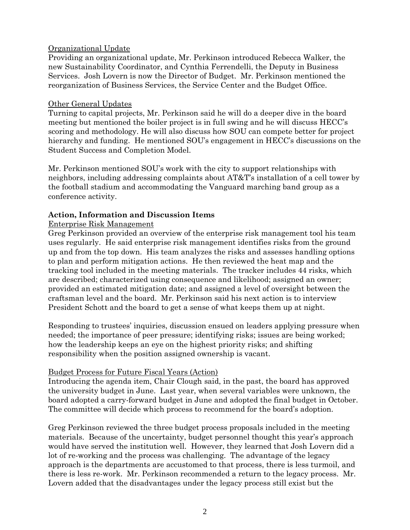# Organizational Update

Providing an organizational update, Mr. Perkinson introduced Rebecca Walker, the new Sustainability Coordinator, and Cynthia Ferrendelli, the Deputy in Business Services. Josh Lovern is now the Director of Budget. Mr. Perkinson mentioned the reorganization of Business Services, the Service Center and the Budget Office.

# Other General Updates

Turning to capital projects, Mr. Perkinson said he will do a deeper dive in the board meeting but mentioned the boiler project is in full swing and he will discuss HECC's scoring and methodology. He will also discuss how SOU can compete better for project hierarchy and funding. He mentioned SOU's engagement in HECC's discussions on the Student Success and Completion Model.

Mr. Perkinson mentioned SOU's work with the city to support relationships with neighbors, including addressing complaints about AT&T's installation of a cell tower by the football stadium and accommodating the Vanguard marching band group as a conference activity.

# **Action, Information and Discussion Items**

# Enterprise Risk Management

Greg Perkinson provided an overview of the enterprise risk management tool his team uses regularly. He said enterprise risk management identifies risks from the ground up and from the top down. His team analyzes the risks and assesses handling options to plan and perform mitigation actions. He then reviewed the heat map and the tracking tool included in the meeting materials. The tracker includes 44 risks, which are described; characterized using consequence and likelihood; assigned an owner; provided an estimated mitigation date; and assigned a level of oversight between the craftsman level and the board. Mr. Perkinson said his next action is to interview President Schott and the board to get a sense of what keeps them up at night.

Responding to trustees' inquiries, discussion ensued on leaders applying pressure when needed; the importance of peer pressure; identifying risks; issues are being worked; how the leadership keeps an eye on the highest priority risks; and shifting responsibility when the position assigned ownership is vacant.

# Budget Process for Future Fiscal Years (Action)

Introducing the agenda item, Chair Clough said, in the past, the board has approved the university budget in June. Last year, when several variables were unknown, the board adopted a carry-forward budget in June and adopted the final budget in October. The committee will decide which process to recommend for the board's adoption.

Greg Perkinson reviewed the three budget process proposals included in the meeting materials. Because of the uncertainty, budget personnel thought this year's approach would have served the institution well. However, they learned that Josh Lovern did a lot of re-working and the process was challenging. The advantage of the legacy approach is the departments are accustomed to that process, there is less turmoil, and there is less re-work. Mr. Perkinson recommended a return to the legacy process. Mr. Lovern added that the disadvantages under the legacy process still exist but the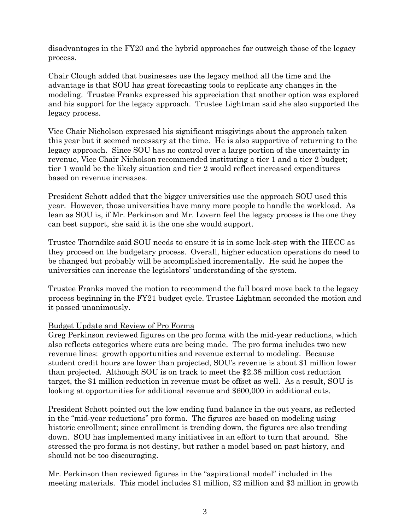disadvantages in the FY20 and the hybrid approaches far outweigh those of the legacy process.

Chair Clough added that businesses use the legacy method all the time and the advantage is that SOU has great forecasting tools to replicate any changes in the modeling. Trustee Franks expressed his appreciation that another option was explored and his support for the legacy approach. Trustee Lightman said she also supported the legacy process.

Vice Chair Nicholson expressed his significant misgivings about the approach taken this year but it seemed necessary at the time. He is also supportive of returning to the legacy approach. Since SOU has no control over a large portion of the uncertainty in revenue, Vice Chair Nicholson recommended instituting a tier 1 and a tier 2 budget; tier 1 would be the likely situation and tier 2 would reflect increased expenditures based on revenue increases.

President Schott added that the bigger universities use the approach SOU used this year. However, those universities have many more people to handle the workload. As lean as SOU is, if Mr. Perkinson and Mr. Lovern feel the legacy process is the one they can best support, she said it is the one she would support.

Trustee Thorndike said SOU needs to ensure it is in some lock-step with the HECC as they proceed on the budgetary process. Overall, higher education operations do need to be changed but probably will be accomplished incrementally. He said he hopes the universities can increase the legislators' understanding of the system.

Trustee Franks moved the motion to recommend the full board move back to the legacy process beginning in the FY21 budget cycle. Trustee Lightman seconded the motion and it passed unanimously.

# Budget Update and Review of Pro Forma

Greg Perkinson reviewed figures on the pro forma with the mid-year reductions, which also reflects categories where cuts are being made. The pro forma includes two new revenue lines: growth opportunities and revenue external to modeling. Because student credit hours are lower than projected, SOU's revenue is about \$1 million lower than projected. Although SOU is on track to meet the \$2.38 million cost reduction target, the \$1 million reduction in revenue must be offset as well. As a result, SOU is looking at opportunities for additional revenue and \$600,000 in additional cuts.

President Schott pointed out the low ending fund balance in the out years, as reflected in the "mid-year reductions" pro forma. The figures are based on modeling using historic enrollment; since enrollment is trending down, the figures are also trending down. SOU has implemented many initiatives in an effort to turn that around. She stressed the pro forma is not destiny, but rather a model based on past history, and should not be too discouraging.

Mr. Perkinson then reviewed figures in the "aspirational model" included in the meeting materials. This model includes \$1 million, \$2 million and \$3 million in growth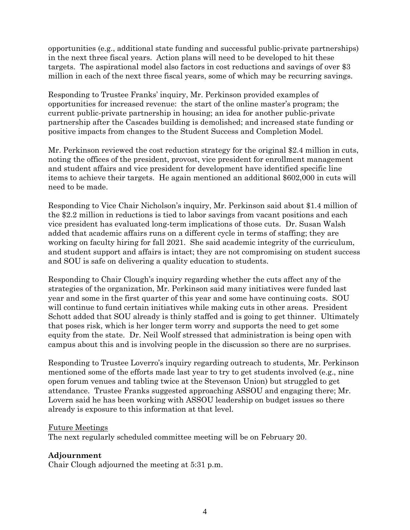opportunities (e.g., additional state funding and successful public-private partnerships) in the next three fiscal years. Action plans will need to be developed to hit these targets. The aspirational model also factors in cost reductions and savings of over \$3 million in each of the next three fiscal years, some of which may be recurring savings.

Responding to Trustee Franks' inquiry, Mr. Perkinson provided examples of opportunities for increased revenue: the start of the online master's program; the current public-private partnership in housing; an idea for another public-private partnership after the Cascades building is demolished; and increased state funding or positive impacts from changes to the Student Success and Completion Model.

Mr. Perkinson reviewed the cost reduction strategy for the original \$2.4 million in cuts, noting the offices of the president, provost, vice president for enrollment management and student affairs and vice president for development have identified specific line items to achieve their targets. He again mentioned an additional \$602,000 in cuts will need to be made.

Responding to Vice Chair Nicholson's inquiry, Mr. Perkinson said about \$1.4 million of the \$2.2 million in reductions is tied to labor savings from vacant positions and each vice president has evaluated long-term implications of those cuts. Dr. Susan Walsh added that academic affairs runs on a different cycle in terms of staffing; they are working on faculty hiring for fall 2021. She said academic integrity of the curriculum, and student support and affairs is intact; they are not compromising on student success and SOU is safe on delivering a quality education to students.

Responding to Chair Clough's inquiry regarding whether the cuts affect any of the strategies of the organization, Mr. Perkinson said many initiatives were funded last year and some in the first quarter of this year and some have continuing costs. SOU will continue to fund certain initiatives while making cuts in other areas. President Schott added that SOU already is thinly staffed and is going to get thinner. Ultimately that poses risk, which is her longer term worry and supports the need to get some equity from the state. Dr. Neil Woolf stressed that administration is being open with campus about this and is involving people in the discussion so there are no surprises.

Responding to Trustee Loverro's inquiry regarding outreach to students, Mr. Perkinson mentioned some of the efforts made last year to try to get students involved (e.g., nine open forum venues and tabling twice at the Stevenson Union) but struggled to get attendance. Trustee Franks suggested approaching ASSOU and engaging there; Mr. Lovern said he has been working with ASSOU leadership on budget issues so there already is exposure to this information at that level.

# Future Meetings

The next regularly scheduled committee meeting will be on February 20.

# **Adjournment**

Chair Clough adjourned the meeting at 5:31 p.m.